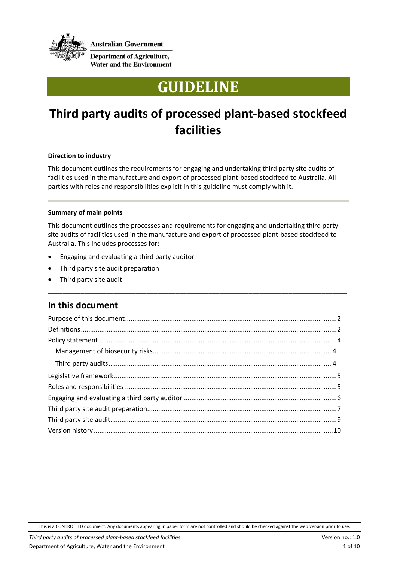

**Australian Government** 

**Department of Agriculture. Water and the Environment** 

# **GUIDELINE**

## **Third party audits of processed plant-based stockfeed facilities**

#### **Direction to industry**

This document outlines the requirements for engaging and undertaking third party site audits of facilities used in the manufacture and export of processed plant-based stockfeed to Australia. All parties with roles and responsibilities explicit in this guideline must comply with it.

#### **Summary of main points**

This document outlines the processes and requirements for engaging and undertaking third party site audits of facilities used in the manufacture and export of processed plant-based stockfeed to Australia. This includes processes for:

\_\_\_\_\_\_\_\_\_\_\_\_\_\_\_\_\_\_\_\_\_\_\_\_\_\_\_\_\_\_\_\_\_\_\_\_\_\_\_\_\_\_\_\_\_\_\_\_\_\_\_\_\_\_\_\_\_\_\_\_\_\_\_\_\_\_\_\_\_\_\_\_\_\_\_\_\_\_\_\_\_\_

- Engaging and evaluating a third party auditor
- Third party site audit preparation
- Third party site audit

#### **In this document**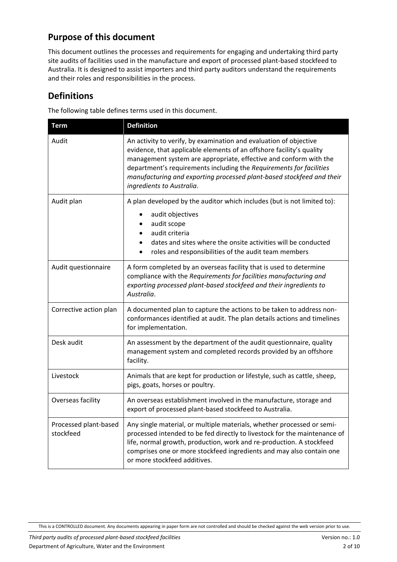## <span id="page-1-0"></span>**Purpose of this document**

This document outlines the processes and requirements for engaging and undertaking third party site audits of facilities used in the manufacture and export of processed plant-based stockfeed to Australia. It is designed to assist importers and third party auditors understand the requirements and their roles and responsibilities in the process.

## <span id="page-1-1"></span>**Definitions**

The following table defines terms used in this document.

| <b>Term</b>                        | <b>Definition</b>                                                                                                                                                                                                                                                                                                                                                                           |
|------------------------------------|---------------------------------------------------------------------------------------------------------------------------------------------------------------------------------------------------------------------------------------------------------------------------------------------------------------------------------------------------------------------------------------------|
| Audit                              | An activity to verify, by examination and evaluation of objective<br>evidence, that applicable elements of an offshore facility's quality<br>management system are appropriate, effective and conform with the<br>department's requirements including the Requirements for facilities<br>manufacturing and exporting processed plant-based stockfeed and their<br>ingredients to Australia. |
| Audit plan                         | A plan developed by the auditor which includes (but is not limited to):<br>audit objectives<br>audit scope<br>audit criteria<br>dates and sites where the onsite activities will be conducted<br>roles and responsibilities of the audit team members<br>٠                                                                                                                                  |
| Audit questionnaire                | A form completed by an overseas facility that is used to determine<br>compliance with the Requirements for facilities manufacturing and<br>exporting processed plant-based stockfeed and their ingredients to<br>Australia.                                                                                                                                                                 |
| Corrective action plan             | A documented plan to capture the actions to be taken to address non-<br>conformances identified at audit. The plan details actions and timelines<br>for implementation.                                                                                                                                                                                                                     |
| Desk audit                         | An assessment by the department of the audit questionnaire, quality<br>management system and completed records provided by an offshore<br>facility.                                                                                                                                                                                                                                         |
| Livestock                          | Animals that are kept for production or lifestyle, such as cattle, sheep,<br>pigs, goats, horses or poultry.                                                                                                                                                                                                                                                                                |
| Overseas facility                  | An overseas establishment involved in the manufacture, storage and<br>export of processed plant-based stockfeed to Australia.                                                                                                                                                                                                                                                               |
| Processed plant-based<br>stockfeed | Any single material, or multiple materials, whether processed or semi-<br>processed intended to be fed directly to livestock for the maintenance of<br>life, normal growth, production, work and re-production. A stockfeed<br>comprises one or more stockfeed ingredients and may also contain one<br>or more stockfeed additives.                                                         |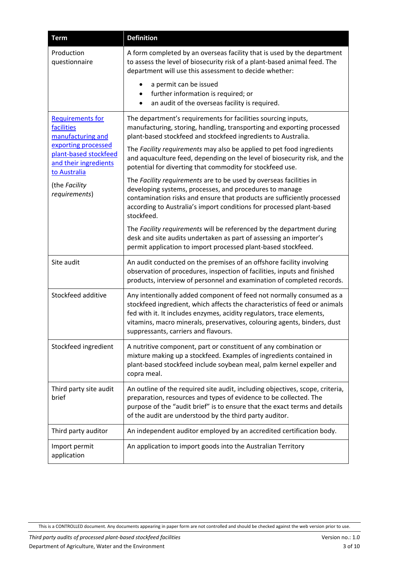| <b>Term</b>                                                                           | <b>Definition</b>                                                                                                                                                                                                                                                                                                                               |
|---------------------------------------------------------------------------------------|-------------------------------------------------------------------------------------------------------------------------------------------------------------------------------------------------------------------------------------------------------------------------------------------------------------------------------------------------|
| Production<br>questionnaire                                                           | A form completed by an overseas facility that is used by the department<br>to assess the level of biosecurity risk of a plant-based animal feed. The<br>department will use this assessment to decide whether:                                                                                                                                  |
|                                                                                       | a permit can be issued<br>further information is required; or<br>٠<br>an audit of the overseas facility is required.                                                                                                                                                                                                                            |
| <b>Requirements for</b><br>facilities<br>manufacturing and                            | The department's requirements for facilities sourcing inputs,<br>manufacturing, storing, handling, transporting and exporting processed<br>plant-based stockfeed and stockfeed ingredients to Australia.                                                                                                                                        |
| exporting processed<br>plant-based stockfeed<br>and their ingredients<br>to Australia | The Facility requirements may also be applied to pet food ingredients<br>and aquaculture feed, depending on the level of biosecurity risk, and the<br>potential for diverting that commodity for stockfeed use.                                                                                                                                 |
| (the Facility<br>requirements)                                                        | The Facility requirements are to be used by overseas facilities in<br>developing systems, processes, and procedures to manage<br>contamination risks and ensure that products are sufficiently processed<br>according to Australia's import conditions for processed plant-based<br>stockfeed.                                                  |
|                                                                                       | The Facility requirements will be referenced by the department during<br>desk and site audits undertaken as part of assessing an importer's<br>permit application to import processed plant-based stockfeed.                                                                                                                                    |
| Site audit                                                                            | An audit conducted on the premises of an offshore facility involving<br>observation of procedures, inspection of facilities, inputs and finished<br>products, interview of personnel and examination of completed records.                                                                                                                      |
| Stockfeed additive                                                                    | Any intentionally added component of feed not normally consumed as a<br>stockfeed ingredient, which affects the characteristics of feed or animals<br>fed with it. It includes enzymes, acidity regulators, trace elements,<br>vitamins, macro minerals, preservatives, colouring agents, binders, dust<br>suppressants, carriers and flavours. |
| Stockfeed ingredient                                                                  | A nutritive component, part or constituent of any combination or<br>mixture making up a stockfeed. Examples of ingredients contained in<br>plant-based stockfeed include soybean meal, palm kernel expeller and<br>copra meal.                                                                                                                  |
| Third party site audit<br>brief                                                       | An outline of the required site audit, including objectives, scope, criteria,<br>preparation, resources and types of evidence to be collected. The<br>purpose of the "audit brief" is to ensure that the exact terms and details<br>of the audit are understood by the third party auditor.                                                     |
| Third party auditor                                                                   | An independent auditor employed by an accredited certification body.                                                                                                                                                                                                                                                                            |
| Import permit<br>application                                                          | An application to import goods into the Australian Territory                                                                                                                                                                                                                                                                                    |

This is a CONTROLLED document. Any documents appearing in paper form are not controlled and should be checked against the web version prior to use.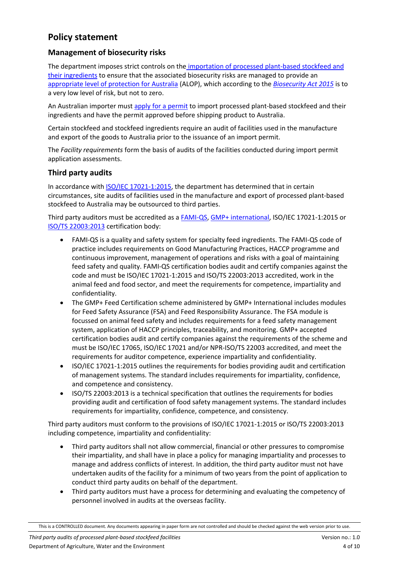## <span id="page-3-0"></span>**Policy statement**

#### <span id="page-3-1"></span>**Management of biosecurity risks**

The department imposes strict controls on the importation of processed [plant-based stockfeed and](https://www.agriculture.gov.au/import/goods/plant-products/stockfeed-supplements)  [their ingredients](https://www.agriculture.gov.au/import/goods/plant-products/stockfeed-supplements) to ensure that the associated biosecurity risks are managed to provide an [appropriate level of protection for Australia](https://www.agriculture.gov.au/biosecurity/risk-analysis/conducting/appropriate-level-of-protection) (ALOP), which according to the *[Biosecurity Act 2015](https://www.agriculture.gov.au/biosecurity/legislation/biosecurity-legislation)* is to a very low level of risk, but not to zero.

An Australian importer mus[t apply for a permit](https://www.agriculture.gov.au/import/goods/plant-products/stockfeed-supplements) to import processed plant-based stockfeed and their ingredients and have the permit approved before shipping product to Australia.

Certain stockfeed and stockfeed ingredients require an audit of facilities used in the manufacture and export of the goods to Australia prior to the issuance of an import permit.

The *Facility requirements* form the basis of audits of the facilities conducted during import permit application assessments.

#### <span id="page-3-2"></span>**Third party audits**

In accordance with [ISO/IEC 17021-1:2015,](https://www.iso.org/standard/61651.html) the department has determined that in certain circumstances, site audits of facilities used in the manufacture and export of processed plant-based stockfeed to Australia may be outsourced to third parties.

Third party auditors must be accredited as a [FAMI-QS,](https://www.fami-qs.org/home.html) GMP+ [international,](https://www.gmpplus.org/en/) ISO/IEC 17021-1:2015 or [ISO/TS 22003:2013](https://www.iso.org/standard/60605.html) certification body:

- FAMI-QS is a quality and safety system for specialty feed ingredients. The FAMI-QS code of practice includes requirements on Good Manufacturing Practices, HACCP programme and continuous improvement, management of operations and risks with a goal of maintaining feed safety and quality. FAMI-QS certification bodies audit and certify companies against the code and must be ISO/IEC 17021-1:2015 and ISO/TS 22003:2013 accredited, work in the animal feed and food sector, and meet the requirements for competence, impartiality and confidentiality.
- The GMP+ Feed Certification scheme administered by GMP+ International includes modules for Feed Safety Assurance (FSA) and Feed Responsibility Assurance. The FSA module is focussed on animal feed safety and includes requirements for a feed safety management system, application of HACCP principles, traceability, and monitoring. GMP+ accepted certification bodies audit and certify companies against the requirements of the scheme and must be ISO/IEC 17065, ISO/IEC 17021 and/or NPR-ISO/TS 22003 accredited, and meet the requirements for auditor competence, experience impartiality and confidentiality.
- ISO/IEC 17021-1:2015 outlines the requirements for bodies providing audit and certification of management systems. The standard includes requirements for impartiality, confidence, and competence and consistency.
- ISO/TS 22003:2013 is a technical specification that outlines the requirements for bodies providing audit and certification of food safety management systems. The standard includes requirements for impartiality, confidence, competence, and consistency.

Third party auditors must conform to the provisions of ISO/IEC 17021-1:2015 or ISO/TS 22003:2013 including competence, impartiality and confidentiality:

- Third party auditors shall not allow commercial, financial or other pressures to compromise their impartiality, and shall have in place a policy for managing impartiality and processes to manage and address conflicts of interest. In addition, the third party auditor must not have undertaken audits of the facility for a minimum of two years from the point of application to conduct third party audits on behalf of the department.
- Third party auditors must have a process for determining and evaluating the competency of personnel involved in audits at the overseas facility.

This is a CONTROLLED document. Any documents appearing in paper form are not controlled and should be checked against the web version prior to use.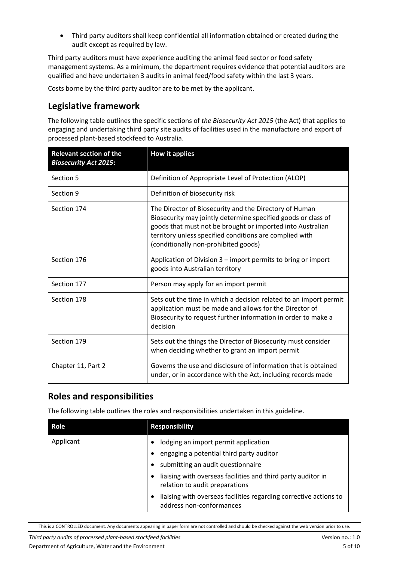• Third party auditors shall keep confidential all information obtained or created during the audit except as required by law.

Third party auditors must have experience auditing the animal feed sector or food safety management systems. As a minimum, the department requires evidence that potential auditors are qualified and have undertaken 3 audits in animal feed/food safety within the last 3 years.

Costs borne by the third party auditor are to be met by the applicant.

#### <span id="page-4-0"></span>**Legislative framework**

The following table outlines the specific sections of *the Biosecurity Act 2015* (the Act) that applies to engaging and undertaking third party site audits of facilities used in the manufacture and export of processed plant-based stockfeed to Australia.

| <b>Relevant section of the</b><br><b>Biosecurity Act 2015:</b> | <b>How it applies</b>                                                                                                                                                                                                                                                                    |
|----------------------------------------------------------------|------------------------------------------------------------------------------------------------------------------------------------------------------------------------------------------------------------------------------------------------------------------------------------------|
| Section 5                                                      | Definition of Appropriate Level of Protection (ALOP)                                                                                                                                                                                                                                     |
| Section 9                                                      | Definition of biosecurity risk                                                                                                                                                                                                                                                           |
| Section 174                                                    | The Director of Biosecurity and the Directory of Human<br>Biosecurity may jointly determine specified goods or class of<br>goods that must not be brought or imported into Australian<br>territory unless specified conditions are complied with<br>(conditionally non-prohibited goods) |
| Section 176                                                    | Application of Division 3 – import permits to bring or import<br>goods into Australian territory                                                                                                                                                                                         |
| Section 177                                                    | Person may apply for an import permit                                                                                                                                                                                                                                                    |
| Section 178                                                    | Sets out the time in which a decision related to an import permit<br>application must be made and allows for the Director of<br>Biosecurity to request further information in order to make a<br>decision                                                                                |
| Section 179                                                    | Sets out the things the Director of Biosecurity must consider<br>when deciding whether to grant an import permit                                                                                                                                                                         |
| Chapter 11, Part 2                                             | Governs the use and disclosure of information that is obtained<br>under, or in accordance with the Act, including records made                                                                                                                                                           |

#### <span id="page-4-1"></span>**Roles and responsibilities**

The following table outlines the roles and responsibilities undertaken in this guideline.

| Role      | <b>Responsibility</b>                                                                          |
|-----------|------------------------------------------------------------------------------------------------|
| Applicant | lodging an import permit application                                                           |
|           | engaging a potential third party auditor                                                       |
|           | submitting an audit questionnaire                                                              |
|           | liaising with overseas facilities and third party auditor in<br>relation to audit preparations |
|           | liaising with overseas facilities regarding corrective actions to<br>address non-conformances  |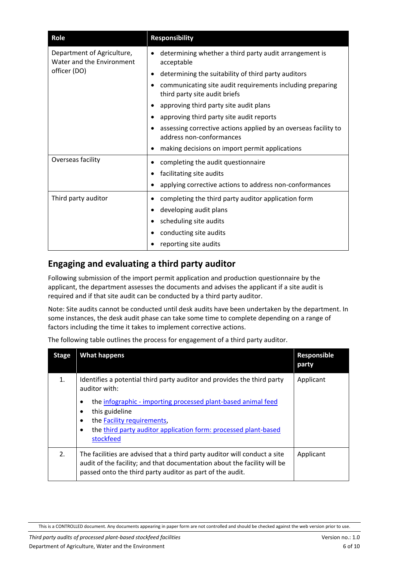| Role                                                    | <b>Responsibility</b>                                                                       |  |  |
|---------------------------------------------------------|---------------------------------------------------------------------------------------------|--|--|
| Department of Agriculture,<br>Water and the Environment | determining whether a third party audit arrangement is<br>acceptable                        |  |  |
| officer (DO)                                            | determining the suitability of third party auditors                                         |  |  |
|                                                         | communicating site audit requirements including preparing<br>third party site audit briefs  |  |  |
|                                                         | approving third party site audit plans                                                      |  |  |
|                                                         | approving third party site audit reports                                                    |  |  |
|                                                         | assessing corrective actions applied by an overseas facility to<br>address non-conformances |  |  |
|                                                         | making decisions on import permit applications                                              |  |  |
| Overseas facility                                       | completing the audit questionnaire                                                          |  |  |
|                                                         | facilitating site audits                                                                    |  |  |
|                                                         | applying corrective actions to address non-conformances                                     |  |  |
| Third party auditor                                     | completing the third party auditor application form                                         |  |  |
|                                                         | developing audit plans                                                                      |  |  |
|                                                         | scheduling site audits                                                                      |  |  |
|                                                         | conducting site audits                                                                      |  |  |
|                                                         | reporting site audits                                                                       |  |  |

## <span id="page-5-0"></span>**Engaging and evaluating a third party auditor**

Following submission of the import permit application and production questionnaire by the applicant, the department assesses the documents and advises the applicant if a site audit is required and if that site audit can be conducted by a third party auditor.

Note: Site audits cannot be conducted until desk audits have been undertaken by the department. In some instances, the desk audit phase can take some time to complete depending on a range of factors including the time it takes to implement corrective actions.

| <b>Stage</b> | <b>What happens</b>                                                                                                                                                                                                | Responsible<br>party |
|--------------|--------------------------------------------------------------------------------------------------------------------------------------------------------------------------------------------------------------------|----------------------|
| 1.           | Identifies a potential third party auditor and provides the third party<br>auditor with:                                                                                                                           | Applicant            |
|              | the infographic - importing processed plant-based animal feed<br>٠<br>this guideline<br>the Facility requirements,<br>٠<br>the third party auditor application form: processed plant-based<br>٠<br>stockfeed       |                      |
| 2.           | The facilities are advised that a third party auditor will conduct a site<br>audit of the facility; and that documentation about the facility will be<br>passed onto the third party auditor as part of the audit. | Applicant            |

The following table outlines the process for engagement of a third party auditor.

This is a CONTROLLED document. Any documents appearing in paper form are not controlled and should be checked against the web version prior to use.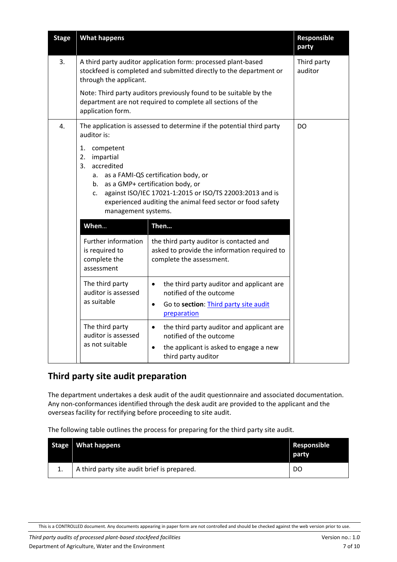| <b>Stage</b> | <b>What happens</b>                                                                                                                                                                                                                                                                                                                                                                    | <b>Responsible</b><br>party                                                                                                                                     |  |
|--------------|----------------------------------------------------------------------------------------------------------------------------------------------------------------------------------------------------------------------------------------------------------------------------------------------------------------------------------------------------------------------------------------|-----------------------------------------------------------------------------------------------------------------------------------------------------------------|--|
| 3.           | A third party auditor application form: processed plant-based<br>stockfeed is completed and submitted directly to the department or<br>through the applicant.<br>Note: Third party auditors previously found to be suitable by the<br>department are not required to complete all sections of the                                                                                      | Third party<br>auditor                                                                                                                                          |  |
|              | application form.                                                                                                                                                                                                                                                                                                                                                                      |                                                                                                                                                                 |  |
| 4.           | The application is assessed to determine if the potential third party<br>auditor is:<br>1.<br>competent<br>2.<br>impartial<br>accredited<br>3.<br>a. as a FAMI-QS certification body, or<br>b. as a GMP+ certification body, or<br>against ISO/IEC 17021-1:2015 or ISO/TS 22003:2013 and is<br>c.<br>experienced auditing the animal feed sector or food safety<br>management systems. | <b>DO</b>                                                                                                                                                       |  |
|              | When                                                                                                                                                                                                                                                                                                                                                                                   | Then                                                                                                                                                            |  |
|              | Further information<br>is required to<br>complete the<br>assessment                                                                                                                                                                                                                                                                                                                    | the third party auditor is contacted and<br>asked to provide the information required to<br>complete the assessment.                                            |  |
|              | The third party<br>auditor is assessed<br>as suitable                                                                                                                                                                                                                                                                                                                                  | the third party auditor and applicant are<br>$\bullet$<br>notified of the outcome<br>Go to section: Third party site audit<br>$\bullet$<br>preparation          |  |
|              | The third party<br>auditor is assessed<br>as not suitable                                                                                                                                                                                                                                                                                                                              | the third party auditor and applicant are<br>$\bullet$<br>notified of the outcome<br>the applicant is asked to engage a new<br>$\bullet$<br>third party auditor |  |

### <span id="page-6-0"></span>**Third party site audit preparation**

The department undertakes a desk audit of the audit questionnaire and associated documentation. Any non-conformances identified through the desk audit are provided to the applicant and the overseas facility for rectifying before proceeding to site audit.

The following table outlines the process for preparing for the third party site audit.

|    | Stage   What happens                        | <b>Responsible</b><br>party |
|----|---------------------------------------------|-----------------------------|
| 1. | A third party site audit brief is prepared. | DO                          |

This is a CONTROLLED document. Any documents appearing in paper form are not controlled and should be checked against the web version prior to use.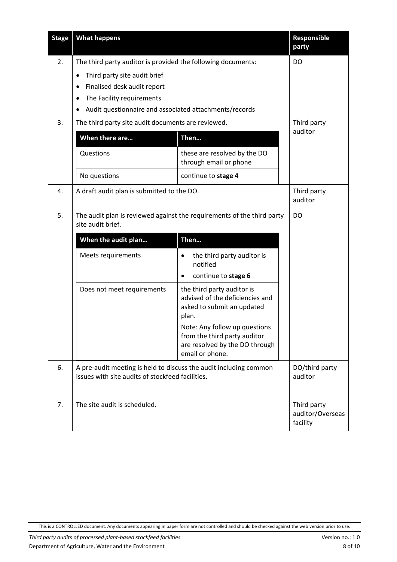| <b>Stage</b> | <b>What happens</b>                                                                                                   |                                                                                                                    | Responsible<br>party                        |
|--------------|-----------------------------------------------------------------------------------------------------------------------|--------------------------------------------------------------------------------------------------------------------|---------------------------------------------|
| 2.           | The third party auditor is provided the following documents:                                                          | D <sub>O</sub>                                                                                                     |                                             |
|              | Third party site audit brief<br>$\bullet$                                                                             |                                                                                                                    |                                             |
|              | Finalised desk audit report                                                                                           |                                                                                                                    |                                             |
|              | The Facility requirements<br>$\bullet$                                                                                |                                                                                                                    |                                             |
|              | Audit questionnaire and associated attachments/records                                                                |                                                                                                                    |                                             |
| 3.           | The third party site audit documents are reviewed.                                                                    |                                                                                                                    | Third party<br>auditor                      |
|              | When there are                                                                                                        | Then                                                                                                               |                                             |
|              | Questions                                                                                                             | these are resolved by the DO<br>through email or phone                                                             |                                             |
|              | No questions                                                                                                          | continue to stage 4                                                                                                |                                             |
| 4.           | A draft audit plan is submitted to the DO.                                                                            | Third party<br>auditor                                                                                             |                                             |
| 5.           | The audit plan is reviewed against the requirements of the third party<br>site audit brief.                           | D <sub>O</sub>                                                                                                     |                                             |
|              | When the audit plan                                                                                                   | Then                                                                                                               |                                             |
|              | Meets requirements                                                                                                    | the third party auditor is<br>$\bullet$<br>notified                                                                |                                             |
|              |                                                                                                                       | continue to stage 6<br>$\bullet$                                                                                   |                                             |
|              | Does not meet requirements                                                                                            | the third party auditor is<br>advised of the deficiencies and<br>asked to submit an updated<br>plan.               |                                             |
|              |                                                                                                                       | Note: Any follow up questions<br>from the third party auditor<br>are resolved by the DO through<br>email or phone. |                                             |
| 6.           | A pre-audit meeting is held to discuss the audit including common<br>issues with site audits of stockfeed facilities. |                                                                                                                    | DO/third party<br>auditor                   |
| 7.           | The site audit is scheduled.                                                                                          |                                                                                                                    | Third party<br>auditor/Overseas<br>facility |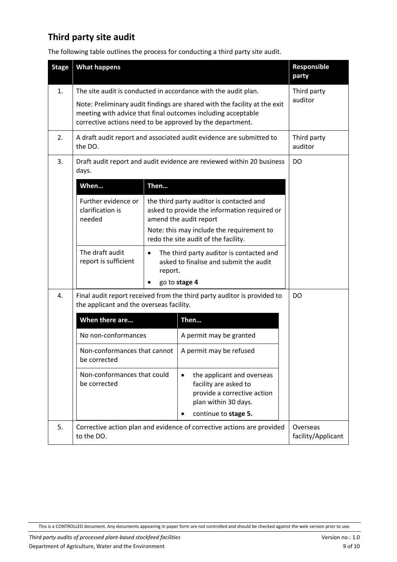## <span id="page-8-0"></span>**Third party site audit**

The following table outlines the process for conducting a third party site audit.

| <b>Stage</b> | <b>What happens</b>                                                                                                                                                                                                                                                      |                      |                                                                                                                                                                                                         |                                | Responsible<br>party   |
|--------------|--------------------------------------------------------------------------------------------------------------------------------------------------------------------------------------------------------------------------------------------------------------------------|----------------------|---------------------------------------------------------------------------------------------------------------------------------------------------------------------------------------------------------|--------------------------------|------------------------|
| 1.           | The site audit is conducted in accordance with the audit plan.<br>Note: Preliminary audit findings are shared with the facility at the exit<br>meeting with advice that final outcomes including acceptable<br>corrective actions need to be approved by the department. |                      |                                                                                                                                                                                                         | Third party<br>auditor         |                        |
| 2.           | the DO.                                                                                                                                                                                                                                                                  |                      | A draft audit report and associated audit evidence are submitted to                                                                                                                                     |                                | Third party<br>auditor |
| 3.           | Draft audit report and audit evidence are reviewed within 20 business<br>days.<br>When<br>Then                                                                                                                                                                           |                      |                                                                                                                                                                                                         | DO                             |                        |
|              | Further evidence or<br>clarification is<br>needed                                                                                                                                                                                                                        |                      | the third party auditor is contacted and<br>asked to provide the information required or<br>amend the audit report<br>Note: this may include the requirement to<br>redo the site audit of the facility. |                                |                        |
|              | The draft audit<br>report is sufficient                                                                                                                                                                                                                                  | $\bullet$<br>report. | The third party auditor is contacted and<br>asked to finalise and submit the audit<br>go to stage 4                                                                                                     |                                |                        |
| 4.           | the applicant and the overseas facility.                                                                                                                                                                                                                                 |                      | Final audit report received from the third party auditor is provided to                                                                                                                                 |                                | DO                     |
|              | When there are                                                                                                                                                                                                                                                           |                      | Then                                                                                                                                                                                                    |                                |                        |
|              | No non-conformances                                                                                                                                                                                                                                                      |                      | A permit may be granted                                                                                                                                                                                 |                                |                        |
|              | Non-conformances that cannot<br>be corrected                                                                                                                                                                                                                             |                      | A permit may be refused                                                                                                                                                                                 |                                |                        |
|              | Non-conformances that could<br>be corrected                                                                                                                                                                                                                              |                      | the applicant and overseas<br>$\bullet$<br>facility are asked to<br>provide a corrective action<br>plan within 30 days.                                                                                 |                                |                        |
|              |                                                                                                                                                                                                                                                                          |                      | continue to stage 5.                                                                                                                                                                                    |                                |                        |
| 5.           | Corrective action plan and evidence of corrective actions are provided<br>to the DO.                                                                                                                                                                                     |                      |                                                                                                                                                                                                         | Overseas<br>facility/Applicant |                        |